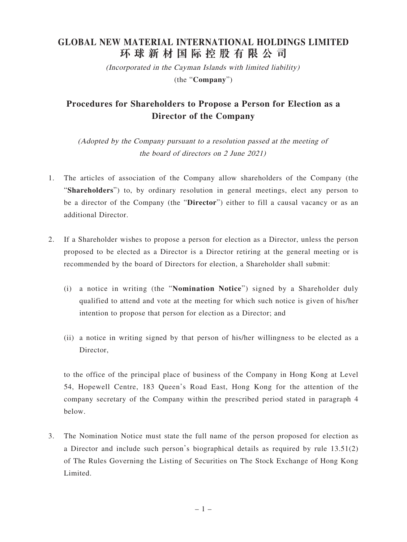## **GLOBAL NEW MATERIAL INTERNATIONAL HOLDINGS LIMITED 環球新材國際控股有限公司**

(Incorporated in the Cayman Islands with limited liability) (the "**Company**")

## **Procedures for Shareholders to Propose a Person for Election as a Director of the Company**

(Adopted by the Company pursuant to a resolution passed at the meeting of the board of directors on 2 June 2021)

- 1. The articles of association of the Company allow shareholders of the Company (the "**Shareholders**") to, by ordinary resolution in general meetings, elect any person to be a director of the Company (the "**Director**") either to fill a causal vacancy or as an additional Director.
- 2. If a Shareholder wishes to propose a person for election as a Director, unless the person proposed to be elected as a Director is a Director retiring at the general meeting or is recommended by the board of Directors for election, a Shareholder shall submit:
	- (i) a notice in writing (the "**Nomination Notice**") signed by a Shareholder duly qualified to attend and vote at the meeting for which such notice is given of his/her intention to propose that person for election as a Director; and
	- (ii) a notice in writing signed by that person of his/her willingness to be elected as a Director,

 to the office of the principal place of business of the Company in Hong Kong at Level 54, Hopewell Centre, 183 Queen's Road East, Hong Kong for the attention of the company secretary of the Company within the prescribed period stated in paragraph 4 below.

3. The Nomination Notice must state the full name of the person proposed for election as a Director and include such person's biographical details as required by rule 13.51(2) of The Rules Governing the Listing of Securities on The Stock Exchange of Hong Kong Limited.